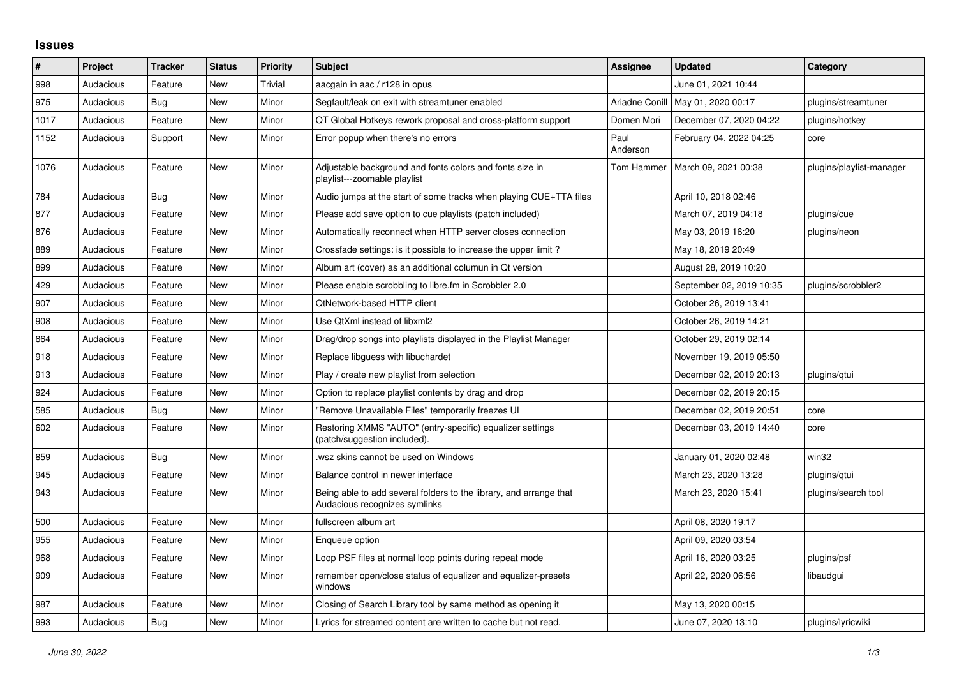## **Issues**

| $\vert$ # | Project   | <b>Tracker</b> | <b>Status</b> | <b>Priority</b> | <b>Subject</b>                                                                                      | Assignee         | <b>Updated</b>           | Category                 |
|-----------|-----------|----------------|---------------|-----------------|-----------------------------------------------------------------------------------------------------|------------------|--------------------------|--------------------------|
| 998       | Audacious | Feature        | <b>New</b>    | Trivial         | aacgain in aac / r128 in opus                                                                       |                  | June 01, 2021 10:44      |                          |
| 975       | Audacious | Bug            | <b>New</b>    | Minor           | Segfault/leak on exit with streamtuner enabled                                                      | Ariadne Conill   | May 01, 2020 00:17       | plugins/streamtuner      |
| 1017      | Audacious | Feature        | New           | Minor           | QT Global Hotkeys rework proposal and cross-platform support                                        | Domen Mori       | December 07, 2020 04:22  | plugins/hotkey           |
| 1152      | Audacious | Support        | <b>New</b>    | Minor           | Error popup when there's no errors                                                                  | Paul<br>Anderson | February 04, 2022 04:25  | core                     |
| 1076      | Audacious | Feature        | New           | Minor           | Adjustable background and fonts colors and fonts size in<br>playlist---zoomable playlist            | Tom Hammer       | March 09, 2021 00:38     | plugins/playlist-manager |
| 784       | Audacious | Bug            | New           | Minor           | Audio jumps at the start of some tracks when playing CUE+TTA files                                  |                  | April 10, 2018 02:46     |                          |
| 877       | Audacious | Feature        | <b>New</b>    | Minor           | Please add save option to cue playlists (patch included)                                            |                  | March 07, 2019 04:18     | plugins/cue              |
| 876       | Audacious | Feature        | New           | Minor           | Automatically reconnect when HTTP server closes connection                                          |                  | May 03, 2019 16:20       | plugins/neon             |
| 889       | Audacious | Feature        | New           | Minor           | Crossfade settings: is it possible to increase the upper limit?                                     |                  | May 18, 2019 20:49       |                          |
| 899       | Audacious | Feature        | New           | Minor           | Album art (cover) as an additional columun in Qt version                                            |                  | August 28, 2019 10:20    |                          |
| 429       | Audacious | Feature        | New           | Minor           | Please enable scrobbling to libre.fm in Scrobbler 2.0                                               |                  | September 02, 2019 10:35 | plugins/scrobbler2       |
| 907       | Audacious | Feature        | New           | Minor           | <b>QtNetwork-based HTTP client</b>                                                                  |                  | October 26, 2019 13:41   |                          |
| 908       | Audacious | Feature        | New           | Minor           | Use QtXml instead of libxml2                                                                        |                  | October 26, 2019 14:21   |                          |
| 864       | Audacious | Feature        | <b>New</b>    | Minor           | Drag/drop songs into playlists displayed in the Playlist Manager                                    |                  | October 29, 2019 02:14   |                          |
| 918       | Audacious | Feature        | New           | Minor           | Replace libguess with libuchardet                                                                   |                  | November 19, 2019 05:50  |                          |
| 913       | Audacious | Feature        | New           | Minor           | Play / create new playlist from selection                                                           |                  | December 02, 2019 20:13  | plugins/qtui             |
| 924       | Audacious | Feature        | New           | Minor           | Option to replace playlist contents by drag and drop                                                |                  | December 02, 2019 20:15  |                          |
| 585       | Audacious | Bug            | New           | Minor           | "Remove Unavailable Files" temporarily freezes UI                                                   |                  | December 02, 2019 20:51  | core                     |
| 602       | Audacious | Feature        | New           | Minor           | Restoring XMMS "AUTO" (entry-specific) equalizer settings<br>(patch/suggestion included).           |                  | December 03, 2019 14:40  | core                     |
| 859       | Audacious | <b>Bug</b>     | <b>New</b>    | Minor           | wsz skins cannot be used on Windows                                                                 |                  | January 01, 2020 02:48   | win32                    |
| 945       | Audacious | Feature        | New           | Minor           | Balance control in newer interface                                                                  |                  | March 23, 2020 13:28     | plugins/gtui             |
| 943       | Audacious | Feature        | New           | Minor           | Being able to add several folders to the library, and arrange that<br>Audacious recognizes symlinks |                  | March 23, 2020 15:41     | plugins/search tool      |
| 500       | Audacious | Feature        | New           | Minor           | fullscreen album art                                                                                |                  | April 08, 2020 19:17     |                          |
| 955       | Audacious | Feature        | New           | Minor           | Engueue option                                                                                      |                  | April 09, 2020 03:54     |                          |
| 968       | Audacious | Feature        | <b>New</b>    | Minor           | Loop PSF files at normal loop points during repeat mode                                             |                  | April 16, 2020 03:25     | plugins/psf              |
| 909       | Audacious | Feature        | New           | Minor           | remember open/close status of equalizer and equalizer-presets<br>windows                            |                  | April 22, 2020 06:56     | libaudgui                |
| 987       | Audacious | Feature        | <b>New</b>    | Minor           | Closing of Search Library tool by same method as opening it                                         |                  | May 13, 2020 00:15       |                          |
| 993       | Audacious | <b>Bug</b>     | New           | Minor           | Lyrics for streamed content are written to cache but not read.                                      |                  | June 07, 2020 13:10      | plugins/lyricwiki        |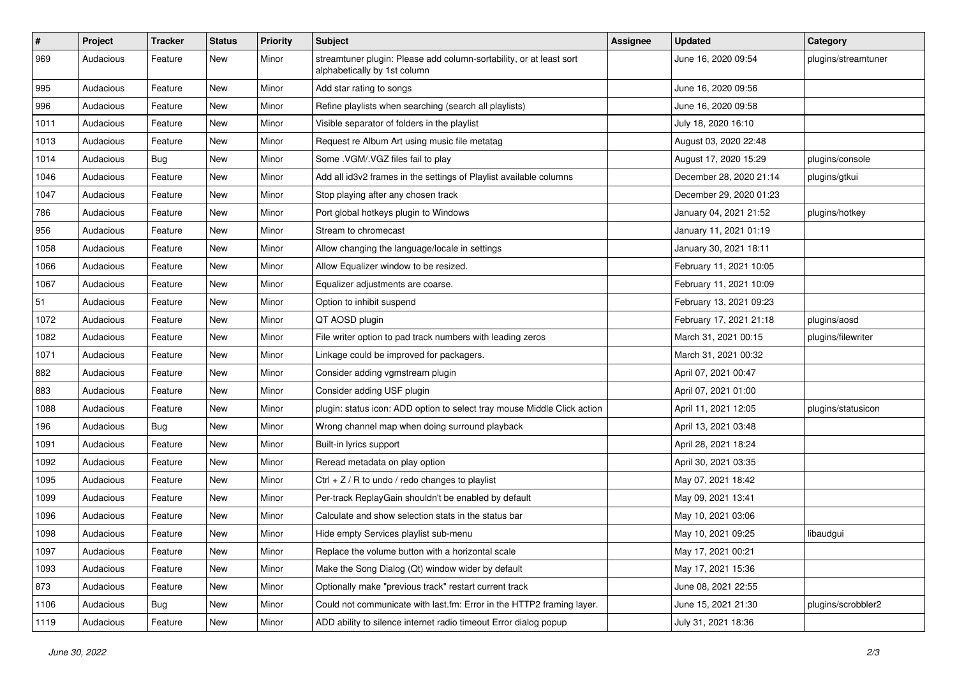| $\#$ | Project   | <b>Tracker</b> | <b>Status</b> | <b>Priority</b> | <b>Subject</b>                                                                                      | <b>Assignee</b> | <b>Updated</b>          | Category            |
|------|-----------|----------------|---------------|-----------------|-----------------------------------------------------------------------------------------------------|-----------------|-------------------------|---------------------|
| 969  | Audacious | Feature        | New           | Minor           | streamtuner plugin: Please add column-sortability, or at least sort<br>alphabetically by 1st column |                 | June 16, 2020 09:54     | plugins/streamtuner |
| 995  | Audacious | Feature        | New           | Minor           | Add star rating to songs                                                                            |                 | June 16, 2020 09:56     |                     |
| 996  | Audacious | Feature        | New           | Minor           | Refine playlists when searching (search all playlists)                                              |                 | June 16, 2020 09:58     |                     |
| 1011 | Audacious | Feature        | New           | Minor           | Visible separator of folders in the playlist                                                        |                 | July 18, 2020 16:10     |                     |
| 1013 | Audacious | Feature        | New           | Minor           | Request re Album Art using music file metatag                                                       |                 | August 03, 2020 22:48   |                     |
| 1014 | Audacious | <b>Bug</b>     | New           | Minor           | Some .VGM/.VGZ files fail to play                                                                   |                 | August 17, 2020 15:29   | plugins/console     |
| 1046 | Audacious | Feature        | New           | Minor           | Add all id3v2 frames in the settings of Playlist available columns                                  |                 | December 28, 2020 21:14 | plugins/gtkui       |
| 1047 | Audacious | Feature        | New           | Minor           | Stop playing after any chosen track                                                                 |                 | December 29, 2020 01:23 |                     |
| 786  | Audacious | Feature        | New           | Minor           | Port global hotkeys plugin to Windows                                                               |                 | January 04, 2021 21:52  | plugins/hotkey      |
| 956  | Audacious | Feature        | New           | Minor           | Stream to chromecast                                                                                |                 | January 11, 2021 01:19  |                     |
| 1058 | Audacious | Feature        | New           | Minor           | Allow changing the language/locale in settings                                                      |                 | January 30, 2021 18:11  |                     |
| 1066 | Audacious | Feature        | New           | Minor           | Allow Equalizer window to be resized.                                                               |                 | February 11, 2021 10:05 |                     |
| 1067 | Audacious | Feature        | New           | Minor           | Equalizer adjustments are coarse.                                                                   |                 | February 11, 2021 10:09 |                     |
| 51   | Audacious | Feature        | New           | Minor           | Option to inhibit suspend                                                                           |                 | February 13, 2021 09:23 |                     |
| 1072 | Audacious | Feature        | New           | Minor           | QT AOSD plugin                                                                                      |                 | February 17, 2021 21:18 | plugins/aosd        |
| 1082 | Audacious | Feature        | New           | Minor           | File writer option to pad track numbers with leading zeros                                          |                 | March 31, 2021 00:15    | plugins/filewriter  |
| 1071 | Audacious | Feature        | New           | Minor           | Linkage could be improved for packagers.                                                            |                 | March 31, 2021 00:32    |                     |
| 882  | Audacious | Feature        | New           | Minor           | Consider adding vgmstream plugin                                                                    |                 | April 07, 2021 00:47    |                     |
| 883  | Audacious | Feature        | New           | Minor           | Consider adding USF plugin                                                                          |                 | April 07, 2021 01:00    |                     |
| 1088 | Audacious | Feature        | New           | Minor           | plugin: status icon: ADD option to select tray mouse Middle Click action                            |                 | April 11, 2021 12:05    | plugins/statusicon  |
| 196  | Audacious | <b>Bug</b>     | New           | Minor           | Wrong channel map when doing surround playback                                                      |                 | April 13, 2021 03:48    |                     |
| 1091 | Audacious | Feature        | New           | Minor           | Built-in lyrics support                                                                             |                 | April 28, 2021 18:24    |                     |
| 1092 | Audacious | Feature        | New           | Minor           | Reread metadata on play option                                                                      |                 | April 30, 2021 03:35    |                     |
| 1095 | Audacious | Feature        | New           | Minor           | Ctrl $+$ Z / R to undo / redo changes to playlist                                                   |                 | May 07, 2021 18:42      |                     |
| 1099 | Audacious | Feature        | New           | Minor           | Per-track ReplayGain shouldn't be enabled by default                                                |                 | May 09, 2021 13:41      |                     |
| 1096 | Audacious | Feature        | New           | Minor           | Calculate and show selection stats in the status bar                                                |                 | May 10, 2021 03:06      |                     |
| 1098 | Audacious | Feature        | New           | Minor           | Hide empty Services playlist sub-menu                                                               |                 | May 10, 2021 09:25      | libaudgui           |
| 1097 | Audacious | Feature        | New           | Minor           | Replace the volume button with a horizontal scale                                                   |                 | May 17, 2021 00:21      |                     |
| 1093 | Audacious | Feature        | New           | Minor           | Make the Song Dialog (Qt) window wider by default                                                   |                 | May 17, 2021 15:36      |                     |
| 873  | Audacious | Feature        | New           | Minor           | Optionally make "previous track" restart current track                                              |                 | June 08, 2021 22:55     |                     |
| 1106 | Audacious | <b>Bug</b>     | New           | Minor           | Could not communicate with last.fm: Error in the HTTP2 framing layer.                               |                 | June 15, 2021 21:30     | plugins/scrobbler2  |
| 1119 | Audacious | Feature        | New           | Minor           | ADD ability to silence internet radio timeout Error dialog popup                                    |                 | July 31, 2021 18:36     |                     |